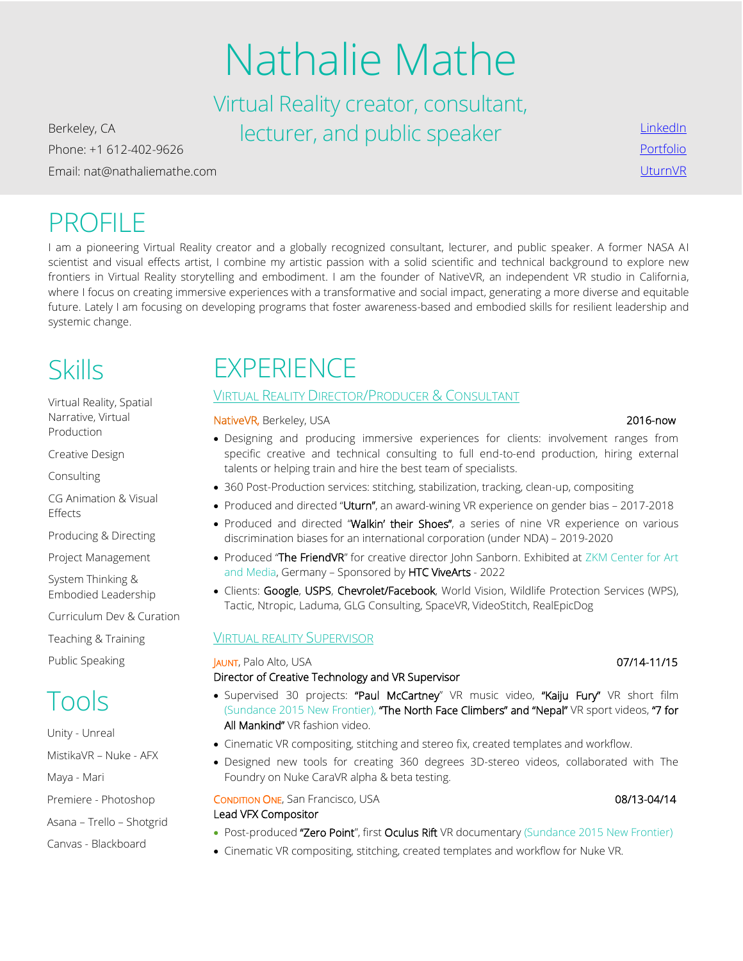# Nathalie Mathe

Virtual Reality creator, consultant, Berkeley, CA **Berkeley, CA Becturer**, and public speaker

Phone: +1 612-402-9626 Email: nat@nathaliemathe.com

## PROFILE

I am a pioneering Virtual Reality creator and a globally recognized consultant, lecturer, and public speaker. A former NASA AI scientist and visual effects artist, I combine my artistic passion with a solid scientific and technical background to explore new frontiers in Virtual Reality storytelling and embodiment. I am the founder of NativeVR, an independent VR studio in California, where I focus on creating immersive experiences with a transformative and social impact, generating a more diverse and equitable future. Lately I am focusing on developing programs that foster awareness-based and embodied skills for resilient leadership and systemic change.

## Skills

Virtual Reality, Spatial Narrative, Virtual Production

Creative Design

Consulting

CG Animation & Visual Effects

Producing & Directing

Project Management

System Thinking & Embodied Leadership

Curriculum Dev & Curation

Teaching & Training

Public Speaking

## Tools

Unity - Unreal MistikaVR – Nuke - AFX Maya - Mari Premiere - Photoshop

Asana – Trello – Shotgrid

Canvas - Blackboard

## **EXPERIENCE**

### VIRTUAL REALITY DIRECTOR/PRODUCER & CONSULTANT

NativeVR, Berkeley, USA 2016-now 2016-now

- Designing and producing immersive experiences for clients: involvement ranges from specific creative and technical consulting to full end-to-end production, hiring external talents or helping train and hire the best team of specialists.
- 360 Post-Production services: stitching, stabilization, tracking, clean-up, compositing
- Produced and directed "Uturn", an award-wining VR experience on gender bias 2017-2018
- Produced and directed "Walkin' their Shoes", a series of nine VR experience on various discrimination biases for an international corporation (under NDA) – 2019-2020
- Produced "The FriendVR" for creative director John Sanborn. Exhibited at ZKM Center for Art and Media, Germany – Sponsored by HTC ViveArts - 2022
- Clients: Google, USPS, Chevrolet/Facebook, World Vision, Wildlife Protection Services (WPS), Tactic, Ntropic, Laduma, GLG Consulting, SpaceVR, VideoStitch, RealEpicDog

### VIRTUAL REALITY SUPERVISOR

**JAUNT, Palo Alto, USA** 07/14-11/15

#### Director of Creative Technology and VR Supervisor

- Supervised 30 projects: "Paul McCartney" VR music video, "Kaiju Fury" VR short film (Sundance 2015 New Frontier), "The North Face Climbers" and "Nepal" VR sport videos, "7 for All Mankind" VR fashion video.
- Cinematic VR compositing, stitching and stereo fix, created templates and workflow.
- Designed new tools for creating 360 degrees 3D-stereo videos, collaborated with The Foundry on Nuke CaraVR alpha & beta testing.

**CONDITION ONE, San Francisco, USA 08/13-04/14 08/13-04/14** Lead VFX Compositor

- Post-produced "Zero Point", first Oculus Rift VR documentary (Sundance 2015 New Frontier)
- Cinematic VR compositing, stitching, created templates and workflow for Nuke VR.

[LinkedIn](https://www.linkedin.com/in/nathaliemathe/) [Portfolio](http://nathaliemathe.com/bandes-demo) [UturnVR](http://www.uturnvr.com/)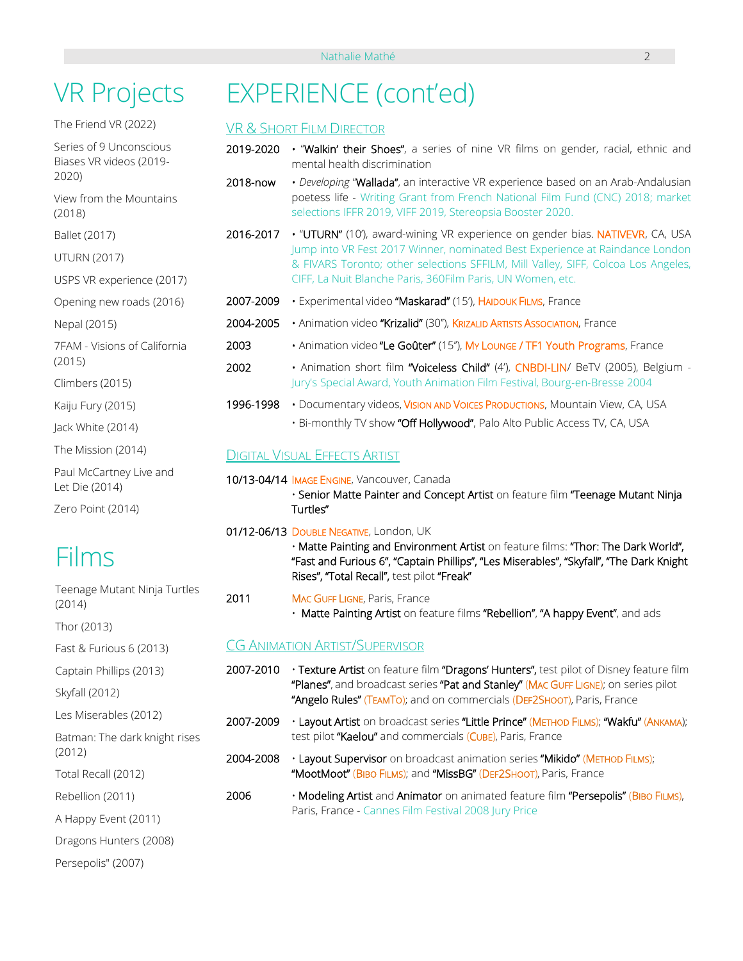## VR Projects

The Friend VR (2022)

Series of 9 Unconscious Biases VR videos (2019- 2020)

View from the Mountains (2018)

Ballet (2017)

UTURN (2017)

USPS VR experience (2017)

Opening new roads (2016)

Nepal (2015)

7FAM - Visions of California (2015)

Climbers (2015)

Kaiju Fury (2015)

Jack White (2014)

The Mission (2014)

Paul McCartney Live and Let Die (2014)

Zero Point (2014)

## Films

Teenage Mutant Ninja Turtles (2014)

Thor (2013)

Fast & Furious 6 (2013)

Captain Phillips (2013)

Skyfall (2012)

Les Miserables (2012)

Batman: The dark knight rises (2012)

Total Recall (2012)

Rebellion (2011)

A Happy Event (2011)

Dragons Hunters (2008)

Persepolis" (2007)

## EXPERIENCE (cont'ed)

### VR & SHORT FILM DIRECTOR

- 2019-2020 "Walkin' their Shoes", a series of nine VR films on gender, racial, ethnic and mental health discrimination
- 2018-now *Developing* "Wallada", an interactive VR experience based on an Arab-Andalusian poetess life - Writing Grant from French National Film Fund (CNC) 2018; market selections IFFR 2019, VIFF 2019, Stereopsia Booster 2020.
- 2016-2017 "UTURN" (10'), award-wining VR experience on gender bias. NATIVEVR, CA, USA Jump into VR Fest 2017 Winner, nominated Best Experience at Raindance London & FIVARS Toronto; other selections SFFILM, Mill Valley, SIFF, Colcoa Los Angeles, CIFF, La Nuit Blanche Paris, 360Film Paris, UN Women, etc.
- 2007-2009 Experimental video "Maskarad" (15'), HAIDOUK FILMS, France
- 2004-2005 Animation video "Krizalid" (30''), KRIZALID ARTISTS ASSOCIATION, France
- 2003 Animation video "Le Goûter" (15"), My Lounge / TF1 Youth Programs, France
- 2002 Animation short film "Voiceless Child" (4'), CNBDI-LIN/ BeTV (2005), Belgium Jury's Special Award, Youth Animation Film Festival, Bourg-en-Bresse 2004
- 1996-1998 Documentary videos, VISION AND VOICES PRODUCTIONS, Mountain View, CA, USA • Bi-monthly TV show "Off Hollywood", Palo Alto Public Access TV, CA, USA

### DIGITAL VISUAL EFFECTS ARTIST

- 10/13-04/14 IMAGE ENGINE, Vancouver, Canada
	- Senior Matte Painter and Concept Artist on feature film "Teenage Mutant Ninja Turtles"
- 01/12-06/13 DOUBLE NEGATIVE, London, UK

• Matte Painting and Environment Artist on feature films: "Thor: The Dark World", "Fast and Furious 6", "Captain Phillips", "Les Miserables", "Skyfall", "The Dark Knight Rises", "Total Recall", test pilot "Freak"

2011 MAC GUFF LIGNE, Paris, France • Matte Painting Artist on feature films "Rebellion", "A happy Event", and ads

### CG ANIMATION ARTIST/SUPERVISOR

- 2007-2010 Texture Artist on feature film "Dragons' Hunters", test pilot of Disney feature film "Planes", and broadcast series "Pat and Stanley" (MAC GUFF LIGNE); on series pilot "Angelo Rules" (TEAMTO); and on commercials (DEF2SHOOT), Paris, France
- 2007-2009 Layout Artist on broadcast series "Little Prince" (METHOD FILMS); "Wakfu" (ANKAMA); test pilot "Kaelou" and commercials (CUBE), Paris, France
- 2004-2008 Layout Supervisor on broadcast animation series "Mikido" (METHOD FILMS); "MootMoot" (BIBO FILMS); and "MissBG" (DEF2SHOOT), Paris, France
- 2006 Modeling Artist and Animator on animated feature film "Persepolis" (BIBO FILMS), Paris, France - Cannes Film Festival 2008 Jury Price